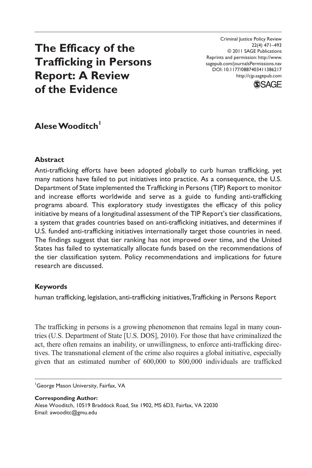# **The Efficacy of the Trafficking in Persons Report: A Review of the Evidence**

Criminal Justice Policy Review 22(4) 471–493 © 2011 SAGE Publications Reprints and permission: http://www. sagepub.com/journalsPermissions.nav DOI: 10.1177/0887403411386217 http://cjp.sagepub.com



# **Alese Wooditch**

### **Abstract**

Anti-trafficking efforts have been adopted globally to curb human trafficking, yet many nations have failed to put initiatives into practice. As a consequence, the U.S. Department of State implemented the Trafficking in Persons (TIP) Report to monitor and increase efforts worldwide and serve as a guide to funding anti-trafficking programs aboard. This exploratory study investigates the efficacy of this policy initiative by means of a longitudinal assessment of the TIP Report's tier classifications, a system that grades countries based on anti-trafficking initiatives, and determines if U.S. funded anti-trafficking initiatives internationally target those countries in need. The findings suggest that tier ranking has not improved over time, and the United States has failed to systematically allocate funds based on the recommendations of the tier classification system. Policy recommendations and implications for future research are discussed.

#### **Keywords**

human trafficking, legislation, anti-trafficking initiatives, Trafficking in Persons Report

The trafficking in persons is a growing phenomenon that remains legal in many countries (U.S. Department of State [U.S. DOS], 2010). For those that have criminalized the act, there often remains an inability, or unwillingness, to enforce anti-trafficking directives. The transnational element of the crime also requires a global initiative, especially given that an estimated number of 600,000 to 800,000 individuals are trafficked

1 George Mason University, Fairfax, VA

**Corresponding Author:** Alese Wooditch, 10519 Braddock Road, Ste 1902, MS 6D3, Fairfax, VA 22030 Email: awooditc@gmu.edu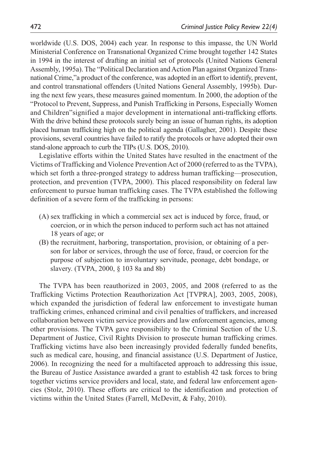worldwide (U.S. DOS, 2004) each year. In response to this impasse, the UN World Ministerial Conference on Transnational Organized Crime brought together 142 States in 1994 in the interest of drafting an initial set of protocols (United Nations General Assembly, 1995a). The "Political Declaration and Action Plan against Organized Transnational Crime,"a product of the conference, was adopted in an effort to identify, prevent, and control transnational offenders (United Nations General Assembly, 1995b). During the next few years, these measures gained momentum. In 2000, the adoption of the "Protocol to Prevent, Suppress, and Punish Trafficking in Persons, Especially Women and Children"signified a major development in international anti-trafficking efforts. With the drive behind these protocols surely being an issue of human rights, its adoption placed human trafficking high on the political agenda (Gallagher, 2001). Despite these provisions, several countries have failed to ratify the protocols or have adopted their own stand-alone approach to curb the TIPs (U.S. DOS, 2010).

Legislative efforts within the United States have resulted in the enactment of the Victims of Trafficking and Violence Prevention Act of 2000 (referred to as the TVPA), which set forth a three-pronged strategy to address human trafficking—prosecution, protection, and prevention (TVPA, 2000). This placed responsibility on federal law enforcement to pursue human trafficking cases. The TVPA established the following definition of a severe form of the trafficking in persons:

- (A) sex trafficking in which a commercial sex act is induced by force, fraud, or coercion, or in which the person induced to perform such act has not attained 18 years of age; or
- (B) the recruitment, harboring, transportation, provision, or obtaining of a person for labor or services, through the use of force, fraud, or coercion for the purpose of subjection to involuntary servitude, peonage, debt bondage, or slavery. (TVPA, 2000, § 103 8a and 8b)

The TVPA has been reauthorized in 2003, 2005, and 2008 (referred to as the Trafficking Victims Protection Reauthorization Act [TVPRA], 2003, 2005, 2008), which expanded the jurisdiction of federal law enforcement to investigate human trafficking crimes, enhanced criminal and civil penalties of traffickers, and increased collaboration between victim service providers and law enforcement agencies, among other provisions. The TVPA gave responsibility to the Criminal Section of the U.S. Department of Justice, Civil Rights Division to prosecute human trafficking crimes. Trafficking victims have also been increasingly provided federally funded benefits, such as medical care, housing, and financial assistance (U.S. Department of Justice, 2006). In recognizing the need for a multifaceted approach to addressing this issue, the Bureau of Justice Assistance awarded a grant to establish 42 task forces to bring together victims service providers and local, state, and federal law enforcement agencies (Stolz, 2010). These efforts are critical to the identification and protection of victims within the United States (Farrell, McDevitt, & Fahy, 2010).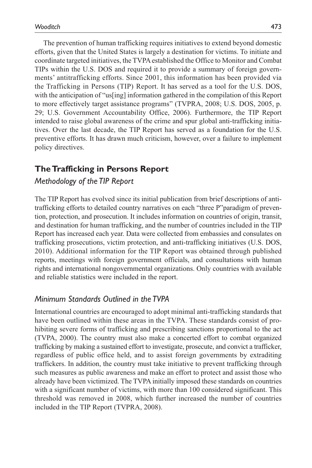The prevention of human trafficking requires initiatives to extend beyond domestic efforts, given that the United States is largely a destination for victims. To initiate and coordinate targeted initiatives, the TVPA established the Office to Monitor and Combat TIPs within the U.S. DOS and required it to provide a summary of foreign governments' antitrafficking efforts. Since 2001, this information has been provided via the Trafficking in Persons (TIP) Report. It has served as a tool for the U.S. DOS, with the anticipation of "us[ing] information gathered in the compilation of this Report to more effectively target assistance programs" (TVPRA, 2008; U.S. DOS, 2005, p. 29; U.S. Government Accountability Office, 2006). Furthermore, the TIP Report intended to raise global awareness of the crime and spur global anti-trafficking initiatives. Over the last decade, the TIP Report has served as a foundation for the U.S. preventive efforts. It has drawn much criticism, however, over a failure to implement policy directives.

# **The Trafficking in Persons Report**

### *Methodology of the TIP Report*

The TIP Report has evolved since its initial publication from brief descriptions of antitrafficking efforts to detailed country narratives on each "three P"paradigm of prevention, protection, and prosecution. It includes information on countries of origin, transit, and destination for human trafficking, and the number of countries included in the TIP Report has increased each year. Data were collected from embassies and consulates on trafficking prosecutions, victim protection, and anti-trafficking initiatives (U.S. DOS, 2010). Additional information for the TIP Report was obtained through published reports, meetings with foreign government officials, and consultations with human rights and international nongovernmental organizations. Only countries with available and reliable statistics were included in the report.

## *Minimum Standards Outlined in the TVPA*

International countries are encouraged to adopt minimal anti-trafficking standards that have been outlined within these areas in the TVPA. These standards consist of prohibiting severe forms of trafficking and prescribing sanctions proportional to the act (TVPA, 2000). The country must also make a concerted effort to combat organized trafficking by making a sustained effort to investigate, prosecute, and convict a trafficker, regardless of public office held, and to assist foreign governments by extraditing traffickers. In addition, the country must take initiative to prevent trafficking through such measures as public awareness and make an effort to protect and assist those who already have been victimized. The TVPA initially imposed these standards on countries with a significant number of victims, with more than 100 considered significant. This threshold was removed in 2008, which further increased the number of countries included in the TIP Report (TVPRA, 2008).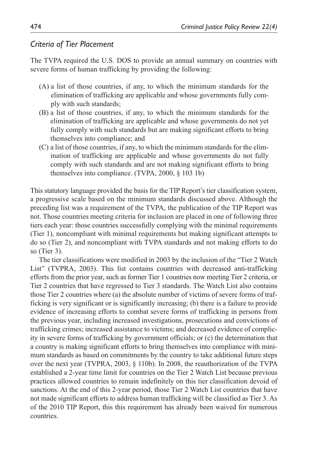#### *Criteria of Tier Placement*

The TVPA required the U.S. DOS to provide an annual summary on countries with severe forms of human trafficking by providing the following:

- (A) a list of those countries, if any, to which the minimum standards for the elimination of trafficking are applicable and whose governments fully comply with such standards;
- (B) a list of those countries, if any, to which the minimum standards for the elimination of trafficking are applicable and whose governments do not yet fully comply with such standards but are making significant efforts to bring themselves into compliance; and
- (C) a list of those countries, if any, to which the minimum standards for the elimination of trafficking are applicable and whose governments do not fully comply with such standards and are not making significant efforts to bring themselves into compliance. (TVPA, 2000, § 103 1b)

This statutory language provided the basis for the TIP Report's tier classification system, a progressive scale based on the minimum standards discussed above. Although the preceding list was a requirement of the TVPA, the publication of the TIP Report was not. Those countries meeting criteria for inclusion are placed in one of following three tiers each year: those countries successfully complying with the minimal requirements (Tier 1), noncompliant with minimal requirements but making significant attempts to do so (Tier 2), and noncompliant with TVPA standards and not making efforts to do so (Tier 3).

The tier classifications were modified in 2003 by the inclusion of the "Tier 2 Watch List" (TVPRA, 2003). This list contains countries with decreased anti-trafficking efforts from the prior year, such as former Tier 1 countries now meeting Tier 2 criteria, or Tier 2 countries that have regressed to Tier 3 standards. The Watch List also contains those Tier 2 countries where (a) the absolute number of victims of severe forms of trafficking is very significant or is significantly increasing; (b) there is a failure to provide evidence of increasing efforts to combat severe forms of trafficking in persons from the previous year, including increased investigations, prosecutions and convictions of trafficking crimes; increased assistance to victims; and decreased evidence of complicity in severe forms of trafficking by government officials; or (c) the determination that a country is making significant efforts to bring themselves into compliance with minimum standards as based on commitments by the country to take additional future steps over the next year (TVPRA, 2003, § 110b). In 2008, the reauthorization of the TVPA established a 2-year time limit for countries on the Tier 2 Watch List because previous practices allowed countries to remain indefinitely on this tier classification devoid of sanctions. At the end of this 2-year period, those Tier 2 Watch List countries that have not made significant efforts to address human trafficking will be classified as Tier 3. As of the 2010 TIP Report, this this requirement has already been waived for numerous countries.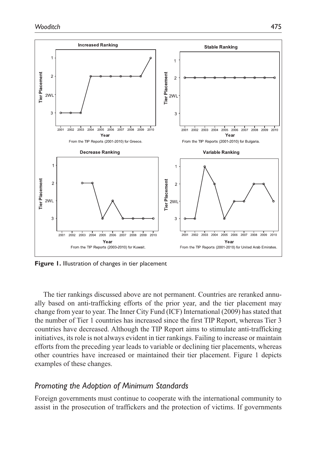



**Figure 1.** Illustration of changes in tier placement

The tier rankings discussed above are not permanent. Countries are reranked annually based on anti-trafficking efforts of the prior year, and the tier placement may change from year to year. The Inner City Fund (ICF) International (2009) has stated that the number of Tier 1 countries has increased since the first TIP Report, whereas Tier 3 countries have decreased. Although the TIP Report aims to stimulate anti-trafficking initiatives, its role is not always evident in tier rankings. Failing to increase or maintain efforts from the preceding year leads to variable or declining tier placements, whereas other countries have increased or maintained their tier placement. Figure 1 depicts examples of these changes.

#### *Promoting the Adoption of Minimum Standards*

Foreign governments must continue to cooperate with the international community to assist in the prosecution of traffickers and the protection of victims. If governments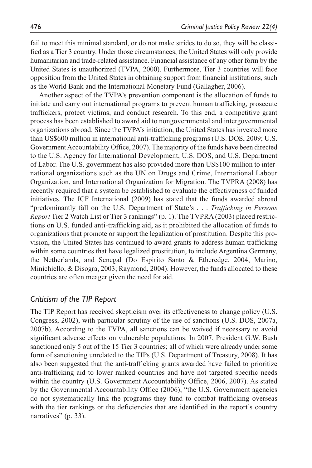fail to meet this minimal standard, or do not make strides to do so, they will be classified as a Tier 3 country. Under those circumstances, the United States will only provide humanitarian and trade-related assistance. Financial assistance of any other form by the United States is unauthorized (TVPA, 2000). Furthermore, Tier 3 countries will face opposition from the United States in obtaining support from financial institutions, such as the World Bank and the International Monetary Fund (Gallagher, 2006).

Another aspect of the TVPA's prevention component is the allocation of funds to initiate and carry out international programs to prevent human trafficking, prosecute traffickers, protect victims, and conduct research. To this end, a competitive grant process has been established to award aid to nongovernmental and intergovernmental organizations abroad. Since the TVPA's initiation, the United States has invested more than US\$600 million in international anti-trafficking programs (U.S. DOS, 2009; U.S. Government Accountability Office, 2007). The majority of the funds have been directed to the U.S. Agency for International Development, U.S. DOS, and U.S. Department of Labor. The U.S. government has also provided more than US\$100 million to international organizations such as the UN on Drugs and Crime, International Labour Organization, and International Organization for Migration. The TVPRA (2008) has recently required that a system be established to evaluate the effectiveness of funded initiatives. The ICF International (2009) has stated that the funds awarded abroad "predominantly fall on the U.S. Department of State's . . . *Trafficking in Persons Report* Tier 2 Watch List or Tier 3 rankings" (p. 1). The TVPRA (2003) placed restrictions on U.S. funded anti-trafficking aid, as it prohibited the allocation of funds to organizations that promote or support the legalization of prostitution. Despite this provision, the United States has continued to award grants to address human trafficking within some countries that have legalized prostitution, to include Argentina Germany, the Netherlands, and Senegal (Do Espirito Santo & Etheredge, 2004; Marino, Minichiello, & Disogra, 2003; Raymond, 2004). However, the funds allocated to these countries are often meager given the need for aid.

#### *Criticism of the TIP Report*

The TIP Report has received skepticism over its effectiveness to change policy (U.S. Congress, 2002), with particular scrutiny of the use of sanctions (U.S. DOS, 2007a, 2007b). According to the TVPA, all sanctions can be waived if necessary to avoid significant adverse effects on vulnerable populations. In 2007, President G.W. Bush sanctioned only 5 out of the 15 Tier 3 countries; all of which were already under some form of sanctioning unrelated to the TIPs (U.S. Department of Treasury, 2008). It has also been suggested that the anti-trafficking grants awarded have failed to prioritize anti-trafficking aid to lower ranked countries and have not targeted specific needs within the country (U.S. Government Accountability Office, 2006, 2007). As stated by the Governmental Accountability Office (2006), "the U.S. Government agencies do not systematically link the programs they fund to combat trafficking overseas with the tier rankings or the deficiencies that are identified in the report's country narratives" (p. 33).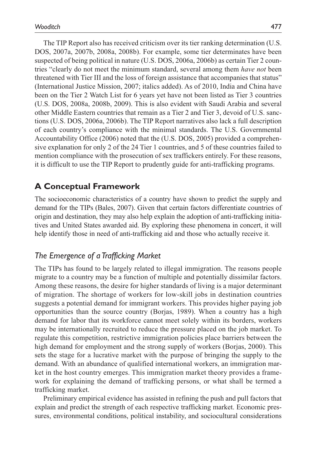The TIP Report also has received criticism over its tier ranking determination (U.S. DOS, 2007a, 2007b, 2008a, 2008b). For example, some tier determinates have been suspected of being political in nature (U.S. DOS, 2006a, 2006b) as certain Tier 2 countries "clearly do not meet the minimum standard, several among them *have not* been threatened with Tier III and the loss of foreign assistance that accompanies that status" (International Justice Mission, 2007; italics added). As of 2010, India and China have been on the Tier 2 Watch List for 6 years yet have not been listed as Tier 3 countries (U.S. DOS, 2008a, 2008b, 2009). This is also evident with Saudi Arabia and several other Middle Eastern countries that remain as a Tier 2 and Tier 3, devoid of U.S. sanctions (U.S. DOS, 2006a, 2006b). The TIP Report narratives also lack a full description of each country's compliance with the minimal standards. The U.S. Governmental Accountability Office (2006) noted that the (U.S. DOS, 2005) provided a comprehensive explanation for only 2 of the 24 Tier 1 countries, and 5 of these countries failed to mention compliance with the prosecution of sex traffickers entirely. For these reasons, it is difficult to use the TIP Report to prudently guide for anti-trafficking programs.

# **A Conceptual Framework**

The socioeconomic characteristics of a country have shown to predict the supply and demand for the TIPs (Bales, 2007). Given that certain factors differentiate countries of origin and destination, they may also help explain the adoption of anti-trafficking initiatives and United States awarded aid. By exploring these phenomena in concert, it will help identify those in need of anti-trafficking aid and those who actually receive it.

# *The Emergence of a Trafficking Market*

The TIPs has found to be largely related to illegal immigration. The reasons people migrate to a country may be a function of multiple and potentially dissimilar factors. Among these reasons, the desire for higher standards of living is a major determinant of migration. The shortage of workers for low-skill jobs in destination countries suggests a potential demand for immigrant workers. This provides higher paying job opportunities than the source country (Borjas, 1989). When a country has a high demand for labor that its workforce cannot meet solely within its borders, workers may be internationally recruited to reduce the pressure placed on the job market. To regulate this competition, restrictive immigration policies place barriers between the high demand for employment and the strong supply of workers (Borjas, 2000). This sets the stage for a lucrative market with the purpose of bringing the supply to the demand. With an abundance of qualified international workers, an immigration market in the host country emerges. This immigration market theory provides a framework for explaining the demand of trafficking persons, or what shall be termed a trafficking market.

Preliminary empirical evidence has assisted in refining the push and pull factors that explain and predict the strength of each respective trafficking market. Economic pressures, environmental conditions, political instability, and sociocultural considerations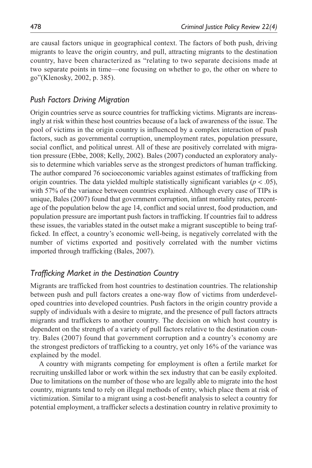are causal factors unique in geographical context. The factors of both push, driving migrants to leave the origin country, and pull, attracting migrants to the destination country, have been characterized as "relating to two separate decisions made at two separate points in time—one focusing on whether to go, the other on where to go"(Klenosky, 2002, p. 385).

## *Push Factors Driving Migration*

Origin countries serve as source countries for trafficking victims. Migrants are increasingly at risk within these host countries because of a lack of awareness of the issue. The pool of victims in the origin country is influenced by a complex interaction of push factors, such as governmental corruption, unemployment rates, population pressure, social conflict, and political unrest. All of these are positively correlated with migration pressure (Ebbe, 2008; Kelly, 2002). Bales (2007) conducted an exploratory analysis to determine which variables serve as the strongest predictors of human trafficking. The author compared 76 socioeconomic variables against estimates of trafficking from origin countries. The data yielded multiple statistically significant variables ( $p < .05$ ), with 57% of the variance between countries explained. Although every case of TIPs is unique, Bales (2007) found that government corruption, infant mortality rates, percentage of the population below the age 14, conflict and social unrest, food production, and population pressure are important push factors in trafficking. If countries fail to address these issues, the variables stated in the outset make a migrant susceptible to being trafficked. In effect, a country's economic well-being, is negatively correlated with the number of victims exported and positively correlated with the number victims imported through trafficking (Bales, 2007).

## *Trafficking Market in the Destination Country*

Migrants are trafficked from host countries to destination countries. The relationship between push and pull factors creates a one-way flow of victims from underdeveloped countries into developed countries. Push factors in the origin country provide a supply of individuals with a desire to migrate, and the presence of pull factors attracts migrants and traffickers to another country. The decision on which host country is dependent on the strength of a variety of pull factors relative to the destination country. Bales (2007) found that government corruption and a country's economy are the strongest predictors of trafficking to a country, yet only 16% of the variance was explained by the model.

A country with migrants competing for employment is often a fertile market for recruiting unskilled labor or work within the sex industry that can be easily exploited. Due to limitations on the number of those who are legally able to migrate into the host country, migrants tend to rely on illegal methods of entry, which place them at risk of victimization. Similar to a migrant using a cost-benefit analysis to select a country for potential employment, a trafficker selects a destination country in relative proximity to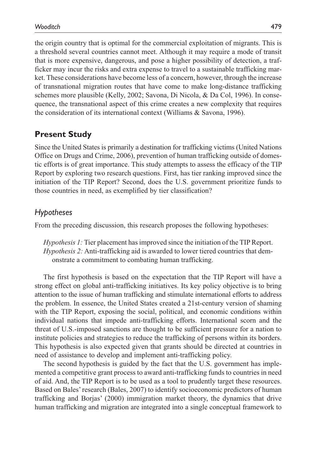the origin country that is optimal for the commercial exploitation of migrants. This is a threshold several countries cannot meet. Although it may require a mode of transit that is more expensive, dangerous, and pose a higher possibility of detection, a trafficker may incur the risks and extra expense to travel to a sustainable trafficking market. These considerations have become less of a concern, however, through the increase of transnational migration routes that have come to make long-distance trafficking schemes more plausible (Kelly, 2002; Savona, Di Nicola, & Da Col, 1996). In consequence, the transnational aspect of this crime creates a new complexity that requires the consideration of its international context (Williams & Savona, 1996).

# **Present Study**

Since the United States is primarily a destination for trafficking victims (United Nations Office on Drugs and Crime, 2006), prevention of human trafficking outside of domestic efforts is of great importance. This study attempts to assess the efficacy of the TIP Report by exploring two research questions. First, has tier ranking improved since the initiation of the TIP Report? Second, does the U.S. government prioritize funds to those countries in need, as exemplified by tier classification?

## *Hypotheses*

From the preceding discussion, this research proposes the following hypotheses:

*Hypothesis 1:* Tier placement has improved since the initiation of the TIP Report. *Hypothesis 2:* Anti-trafficking aid is awarded to lower tiered countries that demonstrate a commitment to combating human trafficking.

The first hypothesis is based on the expectation that the TIP Report will have a strong effect on global anti-trafficking initiatives. Its key policy objective is to bring attention to the issue of human trafficking and stimulate international efforts to address the problem. In essence, the United States created a 21st-century version of shaming with the TIP Report, exposing the social, political, and economic conditions within individual nations that impede anti-trafficking efforts. International scorn and the threat of U.S.-imposed sanctions are thought to be sufficient pressure for a nation to institute policies and strategies to reduce the trafficking of persons within its borders. This hypothesis is also expected given that grants should be directed at countries in need of assistance to develop and implement anti-trafficking policy.

The second hypothesis is guided by the fact that the U.S. government has implemented a competitive grant process to award anti-trafficking funds to countries in need of aid. And, the TIP Report is to be used as a tool to prudently target these resources. Based on Bales' research (Bales, 2007) to identify socioeconomic predictors of human trafficking and Borjas' (2000) immigration market theory, the dynamics that drive human trafficking and migration are integrated into a single conceptual framework to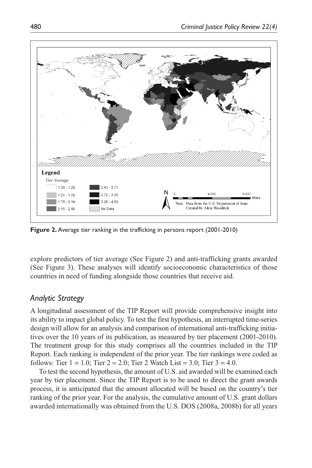

**Figure 2.** Average tier ranking in the trafficking in persons report (2001-2010)

explore predictors of tier average (See Figure 2) and anti-trafficking grants awarded (See Figure 3). These analyses will identify socioeconomic characteristics of those countries in need of funding alongside those countries that receive aid.

#### *Analytic Strategy*

A longitudinal assessment of the TIP Report will provide comprehensive insight into its ability to impact global policy. To test the first hypothesis, an interrupted time-series design will allow for an analysis and comparison of international anti-trafficking initiatives over the 10 years of its publication, as measured by tier placement (2001-2010). The treatment group for this study comprises all the countries included in the TIP Report. Each ranking is independent of the prior year. The tier rankings were coded as follows: Tier  $1 = 1.0$ ; Tier  $2 = 2.0$ ; Tier 2 Watch List = 3.0; Tier  $3 = 4.0$ .

To test the second hypothesis, the amount of U.S. aid awarded will be examined each year by tier placement. Since the TIP Report is to be used to direct the grant awards process, it is anticipated that the amount allocated will be based on the country's tier ranking of the prior year. For the analysis, the cumulative amount of U.S. grant dollars awarded internationally was obtained from the U.S. DOS (2008a, 2008b) for all years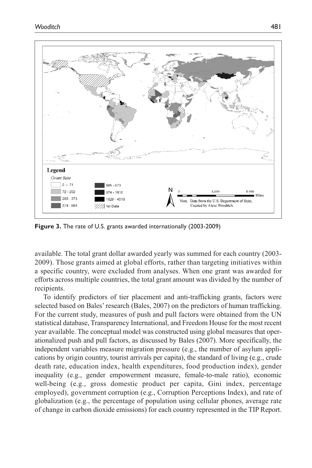

**Figure 3.** The rate of U.S. grants awarded internationally (2003-2009)

available. The total grant dollar awarded yearly was summed for each country (2003- 2009). Those grants aimed at global efforts, rather than targeting initiatives within a specific country, were excluded from analyses. When one grant was awarded for efforts across multiple countries, the total grant amount was divided by the number of recipients.

To identify predictors of tier placement and anti-trafficking grants, factors were selected based on Bales' research (Bales, 2007) on the predictors of human trafficking. For the current study, measures of push and pull factors were obtained from the UN statistical database, Transparency International, and Freedom House for the most recent year available. The conceptual model was constructed using global measures that operationalized push and pull factors, as discussed by Bales (2007). More specifically, the independent variables measure migration pressure (e.g., the number of asylum applications by origin country, tourist arrivals per capita), the standard of living (e.g., crude death rate, education index, health expenditures, food production index), gender inequality (e.g., gender empowerment measure, female-to-male ratio), economic well-being (e.g., gross domestic product per capita, Gini index, percentage employed), government corruption (e.g., Corruption Perceptions Index), and rate of globalization (e.g., the percentage of population using cellular phones, average rate of change in carbon dioxide emissions) for each country represented in the TIP Report.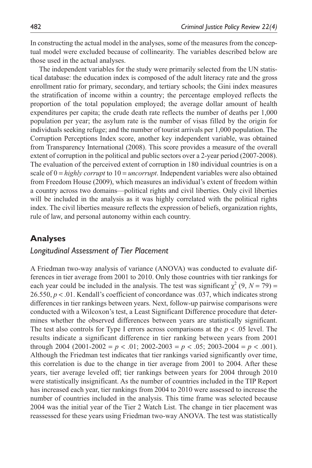In constructing the actual model in the analyses, some of the measures from the conceptual model were excluded because of collinearity. The variables described below are those used in the actual analyses.

The independent variables for the study were primarily selected from the UN statistical database: the education index is composed of the adult literacy rate and the gross enrollment ratio for primary, secondary, and tertiary schools; the Gini index measures the stratification of income within a country; the percentage employed reflects the proportion of the total population employed; the average dollar amount of health expenditures per capita; the crude death rate reflects the number of deaths per 1,000 population per year; the asylum rate is the number of visas filled by the origin for individuals seeking refuge; and the number of tourist arrivals per 1,000 population. The Corruption Perceptions Index score, another key independent variable, was obtained from Transparency International (2008). This score provides a measure of the overall extent of corruption in the political and public sectors over a 2-year period (2007-2008). The evaluation of the perceived extent of corruption in 180 individual countries is on a scale of 0 = *highly corrupt* to 10 = *uncorrupt*. Independent variables were also obtained from Freedom House (2009), which measures an individual's extent of freedom within a country across two domains—political rights and civil liberties. Only civil liberties will be included in the analysis as it was highly correlated with the political rights index. The civil liberties measure reflects the expression of beliefs, organization rights, rule of law, and personal autonomy within each country.

# **Analyses**

#### *Longitudinal Assessment of Tier Placement*

A Friedman two-way analysis of variance (ANOVA) was conducted to evaluate differences in tier average from 2001 to 2010. Only those countries with tier rankings for each year could be included in the analysis. The test was significant  $\chi^2$  (9, *N* = 79) = 26.550, *p* < .01. Kendall's coefficient of concordance was .037, which indicates strong differences in tier rankings between years. Next, follow-up pairwise comparisons were conducted with a Wilcoxon's test, a Least Significant Difference procedure that determines whether the observed differences between years are statistically significant. The test also controls for Type I errors across comparisons at the  $p < .05$  level. The results indicate a significant difference in tier ranking between years from 2001 through 2004 (2001-2002 =  $p < .01$ ; 2002-2003 =  $p < .05$ ; 2003-2004 =  $p < .001$ ). Although the Friedman test indicates that tier rankings varied significantly over time, this correlation is due to the change in tier average from 2001 to 2004. After these years, tier average leveled off; tier rankings between years for 2004 through 2010 were statistically insignificant. As the number of countries included in the TIP Report has increased each year, tier rankings from 2004 to 2010 were assessed to increase the number of countries included in the analysis. This time frame was selected because 2004 was the initial year of the Tier 2 Watch List. The change in tier placement was reassessed for these years using Friedman two-way ANOVA. The test was statistically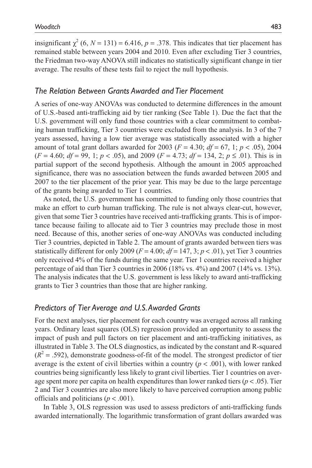insignificant  $\chi^2$  (6, *N* = 131) = 6.416, *p* = .378. This indicates that tier placement has remained stable between years 2004 and 2010. Even after excluding Tier 3 countries, the Friedman two-way ANOVA still indicates no statistically significant change in tier average. The results of these tests fail to reject the null hypothesis.

### *The Relation Between Grants Awarded and Tier Placement*

A series of one-way ANOVAs was conducted to determine differences in the amount of U.S.-based anti-trafficking aid by tier ranking (See Table 1). Due the fact that the U.S. government will only fund those countries with a clear commitment to combating human trafficking, Tier 3 countries were excluded from the analysis. In 3 of the 7 years assessed, having a low tier average was statistically associated with a higher amount of total grant dollars awarded for 2003 (*F* = 4.30; *df* = 67, 1; *p* < .05), 2004  $(F = 4.60; df = 99, 1; p < .05)$ , and 2009  $(F = 4.73; df = 134, 2; p \le .01)$ . This is in partial support of the second hypothesis. Although the amount in 2005 approached significance, there was no association between the funds awarded between 2005 and 2007 to the tier placement of the prior year. This may be due to the large percentage of the grants being awarded to Tier 1 countries.

As noted, the U.S. government has committed to funding only those countries that make an effort to curb human trafficking. The rule is not always clear-cut, however, given that some Tier 3 countries have received anti-trafficking grants. This is of importance because failing to allocate aid to Tier 3 countries may preclude those in most need. Because of this, another series of one-way ANOVAs was conducted including Tier 3 countries, depicted in Table 2. The amount of grants awarded between tiers was statistically different for only 2009 ( $F = 4.00$ ;  $df = 147, 3$ ;  $p < .01$ ), yet Tier 3 countries only received 4% of the funds during the same year. Tier 1 countries received a higher percentage of aid than Tier 3 countries in 2006 (18% vs. 4%) and 2007 (14% vs. 13%). The analysis indicates that the U.S. government is less likely to award anti-trafficking grants to Tier 3 countries than those that are higher ranking.

# *Predictors of Tier Average and U.S. Awarded Grants*

For the next analyses, tier placement for each country was averaged across all ranking years. Ordinary least squares (OLS) regression provided an opportunity to assess the impact of push and pull factors on tier placement and anti-trafficking initiatives, as illustrated in Table 3. The OLS diagnostics, as indicated by the constant and R-squared  $(R<sup>2</sup> = .592)$ , demonstrate goodness-of-fit of the model. The strongest predictor of tier average is the extent of civil liberties within a country  $(p < .001)$ , with lower ranked countries being significantly less likely to grant civil liberties. Tier 1 countries on average spent more per capita on health expenditures than lower ranked tiers ( $p < .05$ ). Tier 2 and Tier 3 countries are also more likely to have perceived corruption among public officials and politicians ( $p < .001$ ).

In Table 3, OLS regression was used to assess predictors of anti-trafficking funds awarded internationally. The logarithmic transformation of grant dollars awarded was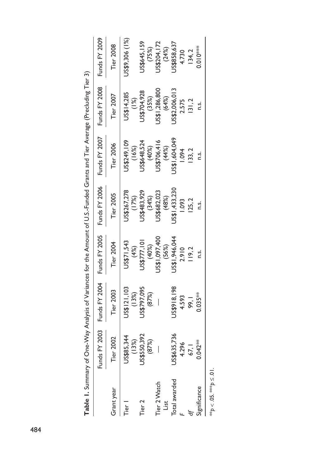| Table 1. Summary     |                      |                      |                        |                      |                      | of One-Way Analysis of Variances for the Amount of U.S.-Funded Grants and Tier Average (Precluding Tier 3) |                       |
|----------------------|----------------------|----------------------|------------------------|----------------------|----------------------|------------------------------------------------------------------------------------------------------------|-----------------------|
|                      | Funds FY 2003        | Funds FY 2004        | Funds FY 2005          | Funds FY 2006        | Funds FY 2007        | Funds FY 2008                                                                                              | Funds FY 2009         |
| Grant year           | Tier 2002            | <b>Tier 2003</b>     | Tier 2004              | <b>Tier 2005</b>     | <b>Tier 2006</b>     | Tier 2007                                                                                                  | <b>Tier 2008</b>      |
| Tier<br>T            | JS\$85.344<br>(13%)  | JS\$121,103<br>(13%) | JS\$71,543<br>(4%)     | JS\$267,278<br>(17%) | JS\$249.109<br>(16%) | JS\$14.285<br>(1%)                                                                                         | JS\$9,306 (1%)        |
| Tier 2               | IS\$550,392<br>(87%) | JS\$797,095<br>(87%) | JS\$777,10<br>(40%)    | JS\$483,929<br>(34%) | JS\$648,524<br>(40%) | JS\$704,928<br>(35%)                                                                                       | JS\$645, 159<br>(75%) |
| Tier 2 Watch<br>List |                      |                      | JS\$1,097,400<br>(56%) | JS\$682.023<br>(48%) | US\$706,416<br>(44%) | JS\$1,286,800<br>(64%)                                                                                     | JS\$204, 172<br>(24%) |
| Total awarded        | IS\$635,736          | US\$918,198          | 15\$1,946,044          | JS\$1,433,230        | JS\$1,604,049        | JS\$2,006,013                                                                                              | JS\$858,637           |
|                      | 4.296                | 4.593                | 2.910                  | 1.093                | 1,094                | 2.575                                                                                                      | 4.730                 |
|                      | 67, 1                | 99, 1                | 119, 2                 | 125, 2               | 133, 2               | 131, 2                                                                                                     | 134,2                 |
| Significance         | $0.042**$            | $0.035**$            |                        | <br>=                | ن<br>1               | ن<br>ع                                                                                                     | $0.010^{***}$         |
|                      |                      |                      |                        |                      |                      |                                                                                                            |                       |

\*\* $p < 0.05$ . \*\*\* $p \le 0.01$ . \*\**p* < .05. \*\*\**p* ≤ .01.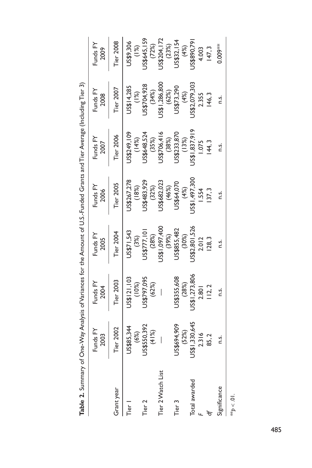|                   | Funds FY<br>2003     | Funds <sub>FY</sub><br>2004 | Funds FY<br>2005       | Funds FY<br>2006     | Funds FY<br>2007      | Funds FY<br>2008       | Funds FY<br>2009      |
|-------------------|----------------------|-----------------------------|------------------------|----------------------|-----------------------|------------------------|-----------------------|
| Grant year        | Tier 2002            | Tier 2003                   | Tier 2004              | <b>Tier 2005</b>     | <b>Tier 2006</b>      | Tier 2007              | <b>Tier 2008</b>      |
| Tier              | JS\$85,344<br>(6%)   | JS\$121,103<br>(10%)        | JS\$71,543<br>(3%)     | JS\$267,278<br>(18%) | IS\$249, 109<br>(14%) | US\$14,285<br>$(1\%)$  | JS\$9,306<br>(1%)     |
| Tier 2            | JS\$550,392<br>(41%) | JS\$797,095<br>(62%)        | JS\$777,10<br>(28%)    | JS\$483,929<br>(32%) | JS\$648,524<br>(35%)  | JS\$704,928<br>(34%)   | JS\$645, I59<br>(72%) |
| Tier 2 Watch List |                      |                             | JS\$1,097,400<br>(39%) | JS\$682,023<br>(46%) | JS\$706,416<br>(38%)  | JS\$1,286,800<br>(62%) | IS\$204, I72<br>(23%) |
| Tier 3            | US\$694,909<br>(52%) | JS\$355,608<br>(28%)        | US\$855,482<br>(30%)   | US\$64,070<br>(4%)   | JS\$233,870<br>(13%)  | US\$73,290<br>(4%)     | JS\$32, I54<br>(4%)   |
| Total awarded     | JS\$1,330,645        | JS\$1,273,806               | JS\$2,801,526          | JS\$1,497,300        | JS\$1,837,919         | JS\$2,079,303          | JS\$890,79            |
|                   | 2.316                |                             | 2.012                  | 1.554                | I.075                 | 2.355                  | 4.003                 |
|                   | 85,2                 | $2.801$<br>$112.2$          | 128, 3                 | 137,3                | 144,3                 | 146,3                  | 147, 3                |
| Significance      | ς.                   | ≤.                          | ≤.                     | ≤.                   | ≤.                    | ≤.                     | $0.009**$             |
| 10. > 4           |                      |                             |                        |                      |                       |                        |                       |

Table 2. Summary of One-Way Analysis of Variances for the Amount of U.S.-Funded Grants and Tier Average (Including Tier 3) **Table 2.** Summary of One-Way Analysis of Variances for the Amount of U.S.-Funded Grants and Tier Average (Including Tier 3)

485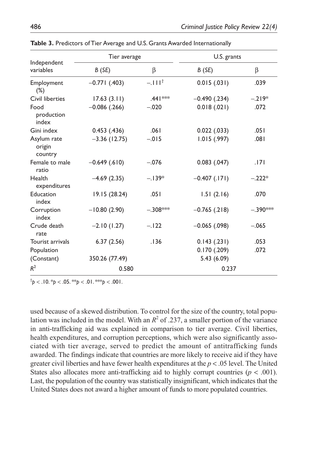|                                  | Tier average    |                   | U.S. grants      |            |
|----------------------------------|-----------------|-------------------|------------------|------------|
| Independent<br>variables         | B(SE)           | $\beta$           | B (SE)           | β          |
| Employment<br>$(\%)$             | $-0.771(0.403)$ | $-.111^{\dagger}$ | 0.015(.031)      | .039       |
| Civil liberties                  | 17.63(3.11)     | .44   **          | $-0.490$ (.234)  | $-.219*$   |
| Food<br>production<br>index      | $-0.086$ (.266) | $-.020$           | 0.018(.021)      | .072       |
| Gini index                       | 0.453(.436)     | .061              | $0.022$ $(.033)$ | .051       |
| Asylum rate<br>origin<br>country | $-3.36(12.75)$  | $-.015$           | 1.015(.997)      | .081       |
| Female to male<br>ratio          | $-0.649$ (.610) | $-.076$           | $0.083$ $(.047)$ | .171       |
| Health<br>expenditures           | $-4.69(2.35)$   | $-.139*$          | $-0.407$ (.171)  | $-.222*$   |
| Education<br>index               | 19.15 (28.24)   | .051              | 1.51(2.16)       | .070       |
| Corruption<br>index              | $-10.80(2.90)$  | $-.308***$        | $-0.765$ (.218)  | $-.390***$ |
| Crude death<br>rate              | $-2.10(1.27)$   | $-.122$           | $-0.065$ (.098)  | $-.065$    |
| Tourist arrivals                 | 6.37(2.56)      | .136              | 0.143(0.231)     | .053       |
| Population                       |                 |                   | 0.170(.209)      | .072       |
| (Constant)                       | 350.26 (77.49)  |                   | 5.43(6.09)       |            |
| $R^2$                            | 0.580           |                   | 0.237            |            |

**Table 3.** Predictors of Tier Average and U.S. Grants Awarded Internationally

† *p* < .10. \**p* < .05. \*\**p* < .01. \*\*\**p* < .001.

used because of a skewed distribution. To control for the size of the country, total population was included in the model. With an  $R^2$  of .237, a smaller portion of the variance in anti-trafficking aid was explained in comparison to tier average. Civil liberties, health expenditures, and corruption perceptions, which were also significantly associated with tier average, served to predict the amount of antitrafficking funds awarded. The findings indicate that countries are more likely to receive aid if they have greater civil liberties and have fewer health expenditures at the *p* < .05 level. The United States also allocates more anti-trafficking aid to highly corrupt countries  $(p < .001)$ . Last, the population of the country was statistically insignificant, which indicates that the United States does not award a higher amount of funds to more populated countries.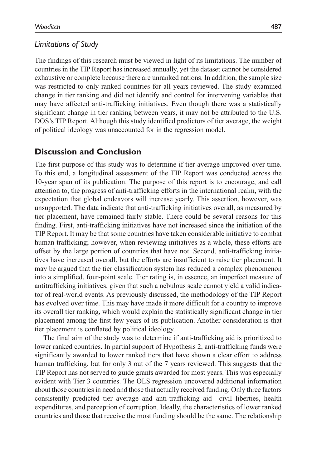## *Limitations of Study*

The findings of this research must be viewed in light of its limitations. The number of countries in the TIP Report has increased annually, yet the dataset cannot be considered exhaustive or complete because there are unranked nations. In addition, the sample size was restricted to only ranked countries for all years reviewed. The study examined change in tier ranking and did not identify and control for intervening variables that may have affected anti-trafficking initiatives. Even though there was a statistically significant change in tier ranking between years, it may not be attributed to the U.S. DOS's TIP Report. Although this study identified predictors of tier average, the weight of political ideology was unaccounted for in the regression model.

# **Discussion and Conclusion**

The first purpose of this study was to determine if tier average improved over time. To this end, a longitudinal assessment of the TIP Report was conducted across the 10-year span of its publication. The purpose of this report is to encourage, and call attention to, the progress of anti-trafficking efforts in the international realm, with the expectation that global endeavors will increase yearly. This assertion, however, was unsupported. The data indicate that anti-trafficking initiatives overall, as measured by tier placement, have remained fairly stable. There could be several reasons for this finding. First, anti-trafficking initiatives have not increased since the initiation of the TIP Report. It may be that some countries have taken considerable initiative to combat human trafficking; however, when reviewing initiatives as a whole, these efforts are offset by the large portion of countries that have not. Second, anti-trafficking initiatives have increased overall, but the efforts are insufficient to raise tier placement. It may be argued that the tier classification system has reduced a complex phenomenon into a simplified, four-point scale. Tier rating is, in essence, an imperfect measure of antitrafficking initiatives, given that such a nebulous scale cannot yield a valid indicator of real-world events. As previously discussed, the methodology of the TIP Report has evolved over time. This may have made it more difficult for a country to improve its overall tier ranking, which would explain the statistically significant change in tier placement among the first few years of its publication. Another consideration is that tier placement is conflated by political ideology.

The final aim of the study was to determine if anti-trafficking aid is prioritized to lower ranked countries. In partial support of Hypothesis 2, anti-trafficking funds were significantly awarded to lower ranked tiers that have shown a clear effort to address human trafficking, but for only 3 out of the 7 years reviewed. This suggests that the TIP Report has not served to guide grants awarded for most years. This was especially evident with Tier 3 countries. The OLS regression uncovered additional information about those countries in need and those that actually received funding. Only three factors consistently predicted tier average and anti-trafficking aid—civil liberties, health expenditures, and perception of corruption. Ideally, the characteristics of lower ranked countries and those that receive the most funding should be the same. The relationship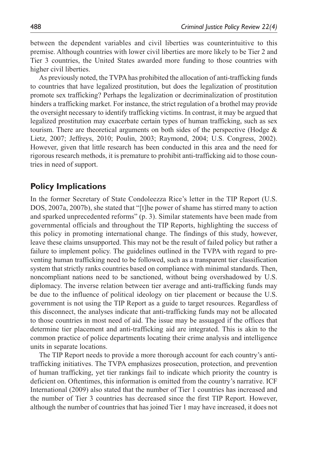between the dependent variables and civil liberties was counterintuitive to this premise. Although countries with lower civil liberties are more likely to be Tier 2 and Tier 3 countries, the United States awarded more funding to those countries with higher civil liberties.

As previously noted, the TVPA has prohibited the allocation of anti-trafficking funds to countries that have legalized prostitution, but does the legalization of prostitution promote sex trafficking? Perhaps the legalization or decriminalization of prostitution hinders a trafficking market. For instance, the strict regulation of a brothel may provide the oversight necessary to identify trafficking victims. In contrast, it may be argued that legalized prostitution may exacerbate certain types of human trafficking, such as sex tourism. There are theoretical arguments on both sides of the perspective (Hodge & Lietz, 2007; Jeffreys, 2010; Poulin, 2003; Raymond, 2004; U.S. Congress, 2002). However, given that little research has been conducted in this area and the need for rigorous research methods, it is premature to prohibit anti-trafficking aid to those countries in need of support.

#### **Policy Implications**

In the former Secretary of State Condoleezza Rice's letter in the TIP Report (U.S. DOS, 2007a, 2007b), she stated that "[t]he power of shame has stirred many to action and sparked unprecedented reforms" (p. 3). Similar statements have been made from governmental officials and throughout the TIP Reports, highlighting the success of this policy in promoting international change. The findings of this study, however, leave these claims unsupported. This may not be the result of failed policy but rather a failure to implement policy. The guidelines outlined in the TVPA with regard to preventing human trafficking need to be followed, such as a transparent tier classification system that strictly ranks countries based on compliance with minimal standards. Then, noncompliant nations need to be sanctioned, without being overshadowed by U.S. diplomacy. The inverse relation between tier average and anti-trafficking funds may be due to the influence of political ideology on tier placement or because the U.S. government is not using the TIP Report as a guide to target resources. Regardless of this disconnect, the analyses indicate that anti-trafficking funds may not be allocated to those countries in most need of aid. The issue may be assuaged if the offices that determine tier placement and anti-trafficking aid are integrated. This is akin to the common practice of police departments locating their crime analysis and intelligence units in separate locations.

The TIP Report needs to provide a more thorough account for each country's antitrafficking initiatives. The TVPA emphasizes prosecution, protection, and prevention of human trafficking, yet tier rankings fail to indicate which priority the country is deficient on. Oftentimes, this information is omitted from the country's narrative. ICF International (2009) also stated that the number of Tier 1 countries has increased and the number of Tier 3 countries has decreased since the first TIP Report. However, although the number of countries that has joined Tier 1 may have increased, it does not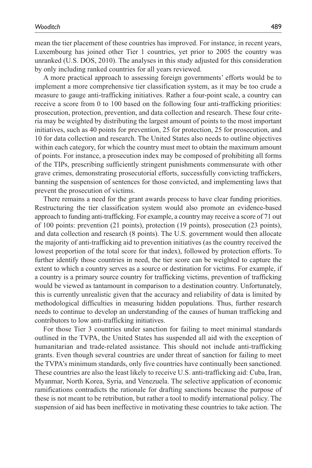mean the tier placement of these countries has improved. For instance, in recent years, Luxembourg has joined other Tier 1 countries, yet prior to 2005 the country was unranked (U.S. DOS, 2010). The analyses in this study adjusted for this consideration by only including ranked countries for all years reviewed.

A more practical approach to assessing foreign governments' efforts would be to implement a more comprehensive tier classification system, as it may be too crude a measure to gauge anti-trafficking initiatives. Rather a four-point scale, a country can receive a score from 0 to 100 based on the following four anti-trafficking priorities: prosecution, protection, prevention, and data collection and research. These four criteria may be weighted by distributing the largest amount of points to the most important initiatives, such as 40 points for prevention, 25 for protection, 25 for prosecution, and 10 for data collection and research. The United States also needs to outline objectives within each category, for which the country must meet to obtain the maximum amount of points. For instance, a prosecution index may be composed of prohibiting all forms of the TIPs, prescribing sufficiently stringent punishments commensurate with other grave crimes, demonstrating prosecutorial efforts, successfully convicting traffickers, banning the suspension of sentences for those convicted, and implementing laws that prevent the prosecution of victims.

There remains a need for the grant awards process to have clear funding priorities. Restructuring the tier classification system would also promote an evidence-based approach to funding anti-trafficking. For example, a country may receive a score of 71 out of 100 points: prevention (21 points), protection (19 points), prosecution (23 points), and data collection and research (8 points). The U.S. government would then allocate the majority of anti-trafficking aid to prevention initiatives (as the country received the lowest proportion of the total score for that index), followed by protection efforts. To further identify those countries in need, the tier score can be weighted to capture the extent to which a country serves as a source or destination for victims. For example, if a country is a primary source country for trafficking victims, prevention of trafficking would be viewed as tantamount in comparison to a destination country. Unfortunately, this is currently unrealistic given that the accuracy and reliability of data is limited by methodological difficulties in measuring hidden populations. Thus, further research needs to continue to develop an understanding of the causes of human trafficking and contributors to low anti-trafficking initiatives.

For those Tier 3 countries under sanction for failing to meet minimal standards outlined in the TVPA, the United States has suspended all aid with the exception of humanitarian and trade-related assistance. This should not include anti-trafficking grants. Even though several countries are under threat of sanction for failing to meet the TVPA's minimum standards, only five countries have continually been sanctioned. These countries are also the least likely to receive U.S. anti-trafficking aid: Cuba, Iran, Myanmar, North Korea, Syria, and Venezuela. The selective application of economic ramifications contradicts the rationale for drafting sanctions because the purpose of these is not meant to be retribution, but rather a tool to modify international policy. The suspension of aid has been ineffective in motivating these countries to take action. The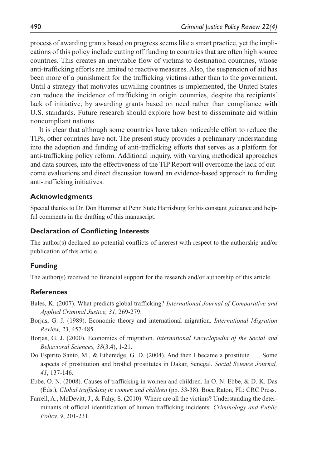process of awarding grants based on progress seems like a smart practice, yet the implications of this policy include cutting off funding to countries that are often high source countries. This creates an inevitable flow of victims to destination countries, whose anti-trafficking efforts are limited to reactive measures. Also, the suspension of aid has been more of a punishment for the trafficking victims rather than to the government. Until a strategy that motivates unwilling countries is implemented, the United States can reduce the incidence of trafficking in origin countries, despite the recipients' lack of initiative, by awarding grants based on need rather than compliance with U.S. standards. Future research should explore how best to disseminate aid within noncompliant nations.

It is clear that although some countries have taken noticeable effort to reduce the TIPs, other countries have not. The present study provides a preliminary understanding into the adoption and funding of anti-trafficking efforts that serves as a platform for anti-trafficking policy reform. Additional inquiry, with varying methodical approaches and data sources, into the effectiveness of the TIP Report will overcome the lack of outcome evaluations and direct discussion toward an evidence-based approach to funding anti-trafficking initiatives.

#### **Acknowledgments**

Special thanks to Dr. Don Hummer at Penn State Harrisburg for his constant guidance and helpful comments in the drafting of this manuscript.

#### **Declaration of Conflicting Interests**

The author(s) declared no potential conflicts of interest with respect to the authorship and/or publication of this article.

#### **Funding**

The author(s) received no financial support for the research and/or authorship of this article.

#### **References**

- Bales, K. (2007). What predicts global trafficking? *International Journal of Comparative and Applied Criminal Justice, 31*, 269-279.
- Borjas, G. J. (1989). Economic theory and international migration. *International Migration Review, 23*, 457-485.
- Borjas, G. J. (2000). Economics of migration. *International Encyclopedia of the Social and Behavioral Sciences, 38*(3.4), 1-21.
- Do Espirito Santo, M., & Etheredge, G. D. (2004). And then I became a prostitute . . . Some aspects of prostitution and brothel prostitutes in Dakar, Senegal. *Social Science Journal, 41*, 137-146.
- Ebbe, O. N. (2008). Causes of trafficking in women and children. In O. N. Ebbe, & D. K. Das (Eds.), *Global trafficking in women and children* (pp. 33-38). Boca Raton, FL: CRC Press.
- Farrell, A., McDevitt, J., & Fahy, S. (2010). Where are all the victims? Understanding the determinants of official identification of human trafficking incidents. *Criminology and Public Policy, 9*, 201-231.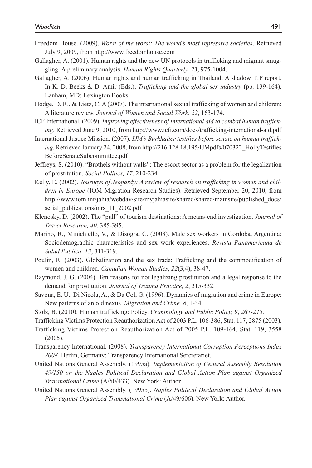- Freedom House. (2009). *Worst of the worst: The world's most repressive societies*. Retrieved July 9, 2009, from http://www.freedomhouse.com
- Gallagher, A. (2001). Human rights and the new UN protocols in trafficking and migrant smuggling: A preliminary analysis. *Human Rights Quarterly, 23*, 975-1004.
- Gallagher, A. (2006). Human rights and human trafficking in Thailand: A shadow TIP report. In K. D. Beeks & D. Amir (Eds.), *Trafficking and the global sex industry* (pp. 139-164). Lanham, MD: Lexington Books.
- Hodge, D. R., & Lietz, C. A (2007). The international sexual trafficking of women and children: A literature review. *Journal of Women and Social Work, 22*, 163-174.
- ICF International. (2009). *Improving effectiveness of international aid to combat human trafficking*. Retrieved June 9, 2010, from http://www.icfi.com/docs/trafficking-international-aid.pdf
- International Justice Mission. (2007). *IJM's Burkhalter testifies before senate on human trafficking.* Retrieved January 24, 2008, from http://216.128.18.195/IJMpdfs/070322\_HollyTestifies BeforeSenateSubcommittee.pdf
- Jeffreys, S. (2010). "Brothels without walls": The escort sector as a problem for the legalization of prostitution. *Social Politics, 17*, 210-234.
- Kelly, E. (2002). *Journeys of Jeopardy: A review of research on trafficking in women and children in Europe* (IOM Migration Research Studies). Retrieved September 20, 2010, from http://www.iom.int/jahia/webdav/site/myjahiasite/shared/shared/mainsite/published\_docs/ serial\_publications/mrs\_11\_2002.pdf
- Klenosky, D. (2002). The "pull" of tourism destinations: A means-end investigation. *Journal of Travel Research, 40*, 385-395.
- Marino, R., Minichiello, V., & Disogra, C. (2003). Male sex workers in Cordoba, Argentina: Sociodemographic characteristics and sex work experiences. *Revista Panamericana de Salud Publica, 13*, 311-319.
- Poulin, R. (2003). Globalization and the sex trade: Trafficking and the commodification of women and children. *Canadian Woman Studies*, *22*(3,4), 38-47.
- Raymond, J. G. (2004). Ten reasons for not legalizing prostitution and a legal response to the demand for prostitution. *Journal of Trauma Practice, 2*, 315-332.
- Savona, E. U., Di Nicola, A., & Da Col, G. (1996). Dynamics of migration and crime in Europe: New patterns of an old nexus. *Migration and Crime, 8*, 1-34.
- Stolz, B. (2010). Human trafficking: Policy. *Criminology and Public Policy, 9*, 267-275.
- Trafficking Victims Protection Reauthorization Act of 2003 P.L. 106-386, Stat. 117, 2875 (2003).
- Trafficking Victims Protection Reauthorization Act of 2005 P.L. 109-164, Stat. 119, 3558 (2005).
- Transparency International. (2008). *Transparency International Corruption Perceptions Index 2008.* Berlin, Germany: Transparency International Sercretariet.
- United Nations General Assembly. (1995a). *Implementation of General Assembly Resolution 49/150 on the Naples Political Declaration and Global Action Plan against Organized Transnational Crime* (A/50/433). New York: Author.
- United Nations General Assembly. (1995b). *Naples Political Declaration and Global Action Plan against Organized Transnational Crime* (A/49/606). New York: Author.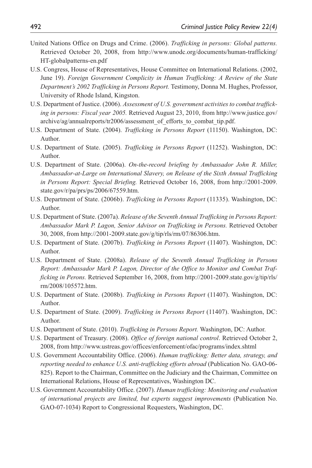- United Nations Office on Drugs and Crime. (2006). *Trafficking in persons: Global patterns.* Retrieved October 20, 2008, from http://www.unodc.org/documents/human-trafficking/ HT-globalpatterns-en.pdf
- U.S. Congress, House of Representatives, House Committee on International Relations. (2002, June 19). *Foreign Government Complicity in Human Trafficking: A Review of the State Department's 2002 Trafficking in Persons Report.* Testimony, Donna M. Hughes, Professor, University of Rhode Island, Kingston.
- U.S. Department of Justice. (2006). *Assessment of U.S. government activities to combat trafficking in persons: Fiscal year 2005.* Retrieved August 23, 2010, from http://www.justice.gov/ archive/ag/annualreports/tr2006/assessment of efforts to combat tip.pdf.
- U.S. Department of State. (2004). *Trafficking in Persons Report* (11150). Washington, DC: Author.
- U.S. Department of State. (2005). *Trafficking in Persons Report* (11252). Washington, DC: Author.
- U.S. Department of State. (2006a). *On-the-record briefing by Ambassador John R. Miller, Ambassador-at-Large on International Slavery, on Release of the Sixth Annual Trafficking in Persons Report: Special Briefing.* Retrieved October 16, 2008, from http://2001-2009. state.gov/r/pa/prs/ps/2006/67559.htm.
- U.S. Department of State. (2006b). *Trafficking in Persons Report* (11335). Washington, DC: Author.
- U.S. Department of State. (2007a). *Release of the Seventh Annual Trafficking in Persons Report: Ambassador Mark P. Lagon, Senior Advisor on Trafficking in Persons.* Retrieved October 30, 2008, from http://2001-2009.state.gov/g/tip/rls/rm/07/86306.htm.
- U.S. Department of State. (2007b). *Trafficking in Persons Report* (11407). Washington, DC: Author.
- U.S. Department of State. (2008a). *Release of the Seventh Annual Trafficking in Persons Report: Ambassador Mark P. Lagon, Director of the Office to Monitor and Combat Trafficking in Perons.* Retrieved September 16, 2008, from http://2001-2009.state.gov/g/tip/rls/ rm/2008/105572.htm.
- U.S. Department of State. (2008b). *Trafficking in Persons Report* (11407). Washington, DC: Author.
- U.S. Department of State. (2009). *Trafficking in Persons Report* (11407). Washington, DC: Author.
- U.S. Department of State. (2010). *Trafficking in Persons Report.* Washington, DC: Author.
- U.S. Department of Treasury. (2008). *Office of foreign national control*. Retrieved October 2, 2008, from http://www.ustreas.gov/offices/enforcement/ofac/programs/index.shtml
- U.S. Government Accountability Office. (2006). *Human trafficking: Better data, strategy, and reporting needed to enhance U.S. anti-trafficking efforts abroad* (Publication No. GAO-06- 825). Report to the Chairman, Committee on the Judiciary and the Chairman, Committee on International Relations, House of Representatives, Washington DC.
- U.S. Government Accountability Office. (2007). *Human trafficking: Monitoring and evaluation of international projects are limited, but experts suggest improvements* (Publication No. GAO-07-1034) Report to Congressional Requesters, Washington, DC.